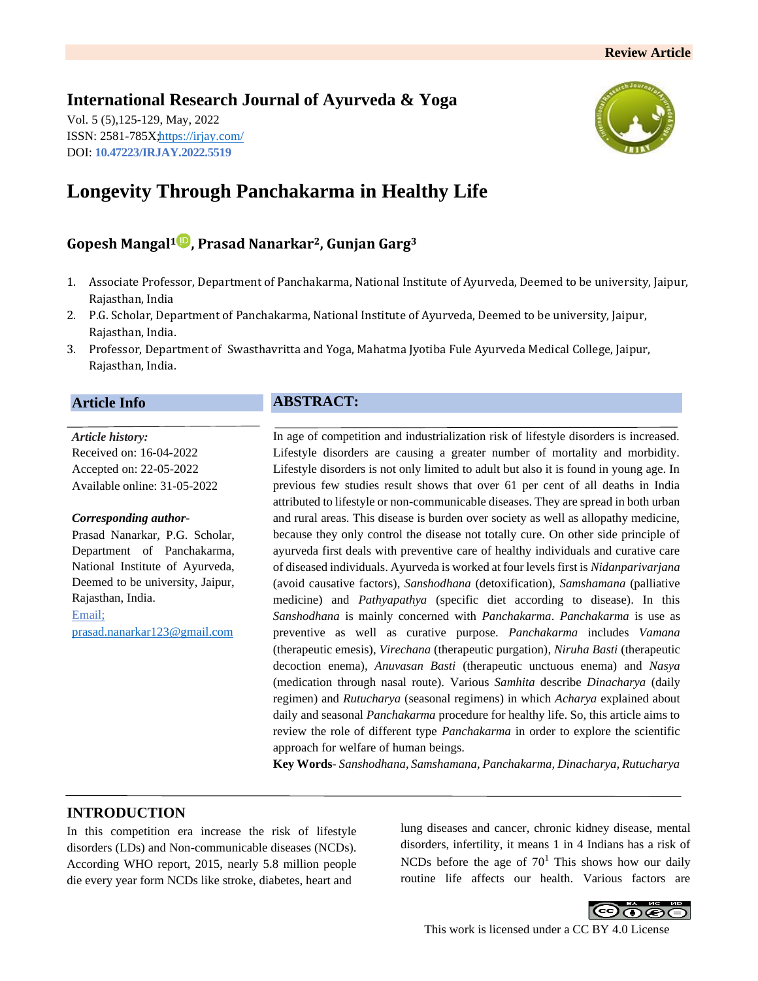# **International Research Journal of Ayurveda & Yoga**

Vol. 5 (5),125-129, May, 2022 ISSN: 2581-785[X; https://irjay.com/](https://irjay.com/) DOI: **10.47223/IRJAY.2022.5519**



# **Longevity Through Panchakarma in Healthy Life**

# **Gopesh Mangal<sup>1</sup> , Prasad Nanarkar2, Gunjan Garg<sup>3</sup>**

- 1. Associate Professor, Department of Panchakarma, National Institute of Ayurveda, Deemed to be university, Jaipur, Rajasthan, India
- 2. P.G. Scholar, Department of Panchakarma, National Institute of Ayurveda, Deemed to be university, Jaipur, Rajasthan, India.
- 3. Professor, Department of Swasthavritta and Yoga, Mahatma Jyotiba Fule Ayurveda Medical College, Jaipur, Rajasthan, India.

### **Article Info**

### *Article history:* Received on: 16-04-2022 Accepted on: 22-05-2022 Available online: 31-05-2022

#### *Corresponding author-*

Prasad Nanarkar, P.G. Scholar, Department of Panchakarma, National Institute of Ayurveda, Deemed to be university, Jaipur, Rajasthan, India. Email;

[prasad.nanarkar123@gmail.com](mailto:prasad.nanarkar123@gmail.com)

# **ABSTRACT:**

In age of competition and industrialization risk of lifestyle disorders is increased. Lifestyle disorders are causing a greater number of mortality and morbidity. Lifestyle disorders is not only limited to adult but also it is found in young age. In previous few studies result shows that over 61 per cent of all deaths in India attributed to lifestyle or non-communicable diseases. They are spread in both urban and rural areas. This disease is burden over society as well as allopathy medicine, because they only control the disease not totally cure. On other side principle of ayurveda first deals with preventive care of healthy individuals and curative care of diseased individuals. Ayurveda is worked at four levels first is *Nidanparivarjana* (avoid causative factors), *Sanshodhana* (detoxification), *Samshamana* (palliative medicine) and *Pathyapathya* (specific diet according to disease). In this *Sanshodhana* is mainly concerned with *Panchakarma*. *Panchakarma* is use as preventive as well as curative purpose. *Panchakarma* includes *Vamana*  (therapeutic emesis)*, Virechana* (therapeutic purgation)*, Niruha Basti* (therapeutic decoction enema)*, Anuvasan Basti* (therapeutic unctuous enema) and *Nasya*  (medication through nasal route). Various *Samhita* describe *Dinacharya* (daily regimen) and *Rutucharya* (seasonal regimens) in which *Acharya* explained about daily and seasonal *Panchakarma* procedure for healthy life. So, this article aims to review the role of different type *Panchakarma* in order to explore the scientific approach for welfare of human beings.

**Key Words**- *Sanshodhana, Samshamana, Panchakarma, Dinacharya, Rutucharya*

# **INTRODUCTION**

In this competition era increase the risk of lifestyle disorders (LDs) and Non-communicable diseases (NCDs). According WHO report, 2015, nearly 5.8 million people die every year form NCDs like stroke, diabetes, heart and

lung diseases and cancer, chronic kidney disease, mental disorders, infertility, it means 1 in 4 Indians has a risk of NCDs before the age of  $70<sup>1</sup>$  This shows how our daily routine life affects our health. Various factors are

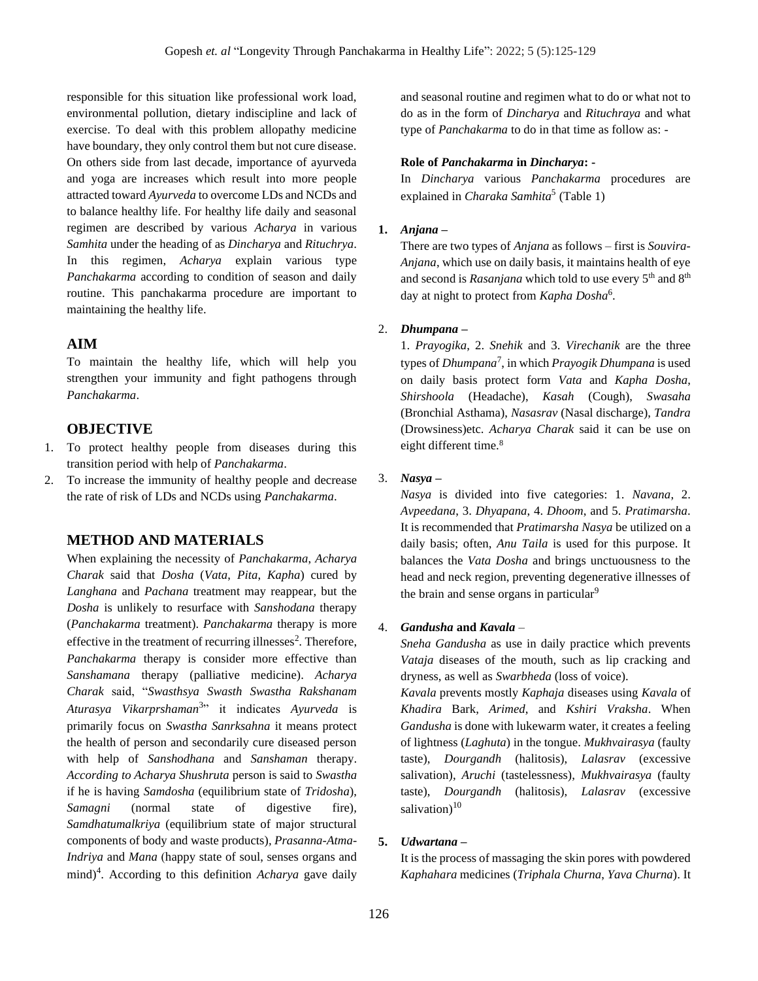responsible for this situation like professional work load, environmental pollution, dietary indiscipline and lack of exercise. To deal with this problem allopathy medicine have boundary, they only control them but not cure disease. On others side from last decade, importance of ayurveda and yoga are increases which result into more people attracted toward *Ayurveda* to overcome LDs and NCDs and to balance healthy life. For healthy life daily and seasonal regimen are described by various *Acharya* in various *Samhita* under the heading of as *Dincharya* and *Rituchrya*. In this regimen, *Acharya* explain various type *Panchakarma* according to condition of season and daily routine. This panchakarma procedure are important to maintaining the healthy life.

## **AIM**

To maintain the healthy life, which will help you strengthen your immunity and fight pathogens through *Panchakarma*.

## **OBJECTIVE**

- 1. To protect healthy people from diseases during this transition period with help of *Panchakarma*.
- 2. To increase the immunity of healthy people and decrease the rate of risk of LDs and NCDs using *Panchakarma*.

## **METHOD AND MATERIALS**

When explaining the necessity of *Panchakarma*, *Acharya Charak* said that *Dosha* (*Vata*, *Pita*, *Kapha*) cured by *Langhana* and *Pachana* treatment may reappear, but the *Dosha* is unlikely to resurface with *Sanshodana* therapy (*Panchakarma* treatment). *Panchakarma* therapy is more effective in the treatment of recurring illnesses<sup>2</sup>. Therefore, *Panchakarma* therapy is consider more effective than *Sanshamana* therapy (palliative medicine). *Acharya Charak* said, "*Swasthsya Swasth Swastha Rakshanam Aturasya Vikarprshaman*<sup>3</sup> " it indicates *Ayurveda* is primarily focus on *Swastha Sanrksahna* it means protect the health of person and secondarily cure diseased person with help of *Sanshodhana* and *Sanshaman* therapy. *According to Acharya Shushruta* person is said to *Swastha*  if he is having *Samdosha* (equilibrium state of *Tridosha*), *Samagni* (normal state of digestive fire)*, Samdhatumalkriya* (equilibrium state of major structural components of body and waste products)*, Prasanna-Atma-Indriya* and *Mana* (happy state of soul, senses organs and mind)<sup>4</sup>. According to this definition *Acharya* gave daily

and seasonal routine and regimen what to do or what not to do as in the form of *Dincharya* and *Rituchraya* and what type of *Panchakarma* to do in that time as follow as: -

#### **Role of** *Panchakarma* **in** *Dincharya***: -**

In *Dincharya* various *Panchakarma* procedures are explained in *Charaka Samhita*<sup>5</sup> (Table 1)

#### **1.** *Anjana* **–**

There are two types of *Anjana* as follows – first is *Souvira*-*Anjana*, which use on daily basis, it maintains health of eye and second is *Rasanjana* which told to use every 5<sup>th</sup> and 8<sup>th</sup> day at night to protect from *Kapha Dosha*<sup>6</sup> .

# 2. *Dhumpana* **–**

1. *Prayogika*, 2. *Snehik* and 3. *Virechanik* are the three types of *Dhumpana*<sup>7</sup> , in which *Prayogik Dhumpana* is used on daily basis protect form *Vata* and *Kapha Dosha*, *Shirshoola* (Headache), *Kasah* (Cough), *Swasaha*  (Bronchial Asthama), *Nasasrav* (Nasal discharge), *Tandra*  (Drowsiness)etc. *Acharya Charak* said it can be use on eight different time.<sup>8</sup>

#### 3. *Nasya* **–**

*Nasya* is divided into five categories: 1. *Navana*, 2. *Avpeedana*, 3. *Dhyapana*, 4. *Dhoom*, and 5. *Pratimarsha*. It is recommended that *Pratimarsha Nasya* be utilized on a daily basis; often, *Anu Taila* is used for this purpose. It balances the *Vata Dosha* and brings unctuousness to the head and neck region, preventing degenerative illnesses of the brain and sense organs in particular<sup>9</sup>

#### 4. *Gandusha* **and** *Kavala* –

*Sneha Gandusha* as use in daily practice which prevents *Vataja* diseases of the mouth, such as lip cracking and dryness, as well as *Swarbheda* (loss of voice).

*Kavala* prevents mostly *Kaphaja* diseases using *Kavala* of *Khadira* Bark, *Arimed*, and *Kshiri Vraksha*. When *Gandusha* is done with lukewarm water, it creates a feeling of lightness (*Laghuta*) in the tongue. *Mukhvairasya* (faulty taste), *Dourgandh* (halitosis), *Lalasrav* (excessive salivation), *Aruchi* (tastelessness), *Mukhvairasya* (faulty taste), *Dourgandh* (halitosis), *Lalasrav* (excessive salivation) $10$ 

#### **5.** *Udwartana* **–**

It is the process of massaging the skin pores with powdered *Kaphahara* medicines (*Triphala Churna*, *Yava Churna*). It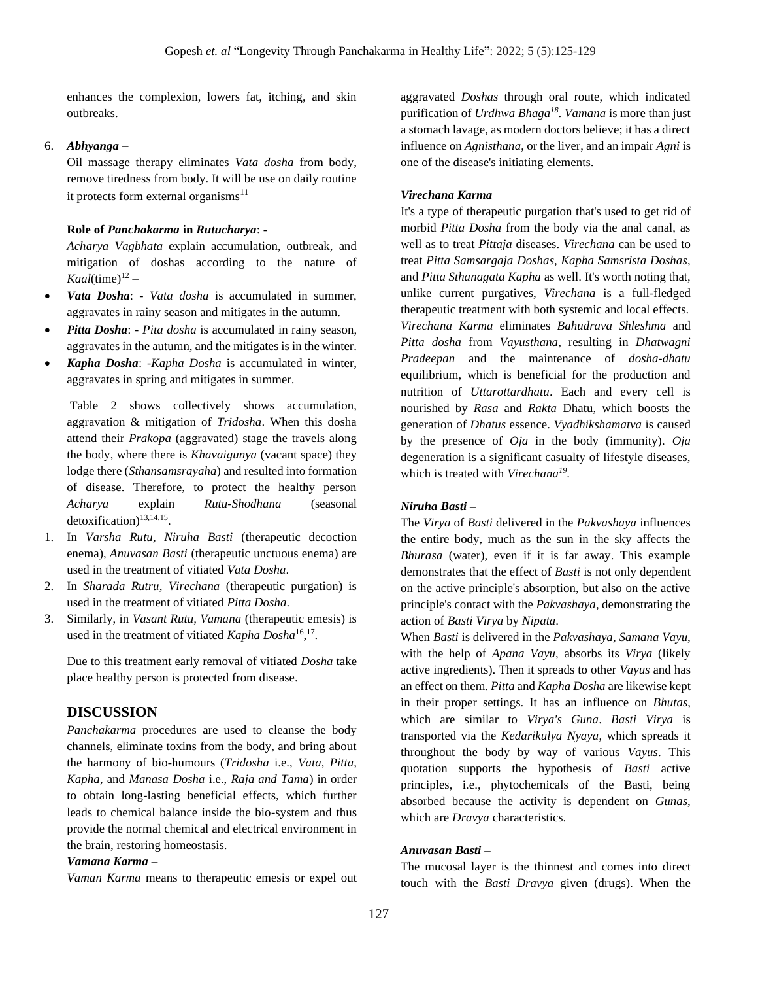enhances the complexion, lowers fat, itching, and skin outbreaks.

#### 6. *Abhyanga* –

Oil massage therapy eliminates *Vata dosha* from body, remove tiredness from body. It will be use on daily routine it protects form external organisms $^{11}$ 

#### **Role of** *Panchakarma* **in** *Rutucharya*: -

*Acharya Vagbhata* explain accumulation, outbreak, and mitigation of doshas according to the nature of  $Kaal$ (time)<sup>12</sup> –

- *Vata Dosha*: *Vata dosha* is accumulated in summer, aggravates in rainy season and mitigates in the autumn.
- *Pitta Dosha*: *Pita dosha* is accumulated in rainy season, aggravates in the autumn, and the mitigates is in the winter.
- *Kapha Dosha*: -*Kapha Dosha* is accumulated in winter, aggravates in spring and mitigates in summer.

Table 2 shows collectively shows accumulation, aggravation & mitigation of *Tridosha*. When this dosha attend their *Prakopa* (aggravated) stage the travels along the body, where there is *Khavaigunya* (vacant space) they lodge there (*Sthansamsrayaha*) and resulted into formation of disease. Therefore, to protect the healthy person *Acharya* explain *Rutu*-*Shodhana* (seasonal detoxification)<sup>13,14,15</sup>.

- 1. In *Varsha Rutu, Niruha Basti* (therapeutic decoction enema), *Anuvasan Basti* (therapeutic unctuous enema) are used in the treatment of vitiated *Vata Dosha*.
- 2. In *Sharada Rutru, Virechana* (therapeutic purgation) is used in the treatment of vitiated *Pitta Dosha*.
- 3. Similarly, in *Vasant Rutu, Vamana* (therapeutic emesis) is used in the treatment of vitiated *Kapha Dosha*<sup>16</sup>,<sup>17</sup>.

Due to this treatment early removal of vitiated *Dosha* take place healthy person is protected from disease.

#### **DISCUSSION**

*Panchakarma* procedures are used to cleanse the body channels, eliminate toxins from the body, and bring about the harmony of bio-humours (*Tridosha* i.e., *Vata, Pitta, Kapha*, and *Manasa Dosha* i.e., *Raja and Tama*) in order to obtain long-lasting beneficial effects, which further leads to chemical balance inside the bio-system and thus provide the normal chemical and electrical environment in the brain, restoring homeostasis.

#### *Vamana Karma* –

*Vaman Karma* means to therapeutic emesis or expel out

aggravated *Doshas* through oral route, which indicated purification of *Urdhwa Bhaga<sup>18</sup>* . *Vamana* is more than just a stomach lavage, as modern doctors believe; it has a direct influence on *Agnisthana*, or the liver, and an impair *Agni* is one of the disease's initiating elements.

#### *Virechana Karma* –

It's a type of therapeutic purgation that's used to get rid of morbid *Pitta Dosha* from the body via the anal canal, as well as to treat *Pittaja* diseases. *Virechana* can be used to treat *Pitta Samsargaja Doshas*, *Kapha Samsrista Doshas*, and *Pitta Sthanagata Kapha* as well. It's worth noting that, unlike current purgatives, *Virechana* is a full-fledged therapeutic treatment with both systemic and local effects. *Virechana Karma* eliminates *Bahudrava Shleshma* and *Pitta dosha* from *Vayusthana*, resulting in *Dhatwagni Pradeepan* and the maintenance of *dosha-dhatu* equilibrium, which is beneficial for the production and nutrition of *Uttarottardhatu*. Each and every cell is nourished by *Rasa* and *Rakta* Dhatu, which boosts the generation of *Dhatus* essence. *Vyadhikshamatva* is caused by the presence of *Oja* in the body (immunity). *Oja* degeneration is a significant casualty of lifestyle diseases, which is treated with *Virechana 19* .

#### *Niruha Basti –*

The *Virya* of *Basti* delivered in the *Pakvashaya* influences the entire body, much as the sun in the sky affects the *Bhurasa* (water), even if it is far away. This example demonstrates that the effect of *Basti* is not only dependent on the active principle's absorption, but also on the active principle's contact with the *Pakvashaya*, demonstrating the action of *Basti Virya* by *Nipata*.

When *Basti* is delivered in the *Pakvashaya*, *Samana Vayu*, with the help of *Apana Vayu*, absorbs its *Virya* (likely active ingredients). Then it spreads to other *Vayus* and has an effect on them. *Pitta* and *Kapha Dosha* are likewise kept in their proper settings. It has an influence on *Bhutas*, which are similar to *Virya's Guna*. *Basti Virya* is transported via the *Kedarikulya Nyaya*, which spreads it throughout the body by way of various *Vayus*. This quotation supports the hypothesis of *Basti* active principles, i.e., phytochemicals of the Basti, being absorbed because the activity is dependent on *Gunas*, which are *Dravya* characteristics.

#### *Anuvasan Basti* –

The mucosal layer is the thinnest and comes into direct touch with the *Basti Dravya* given (drugs). When the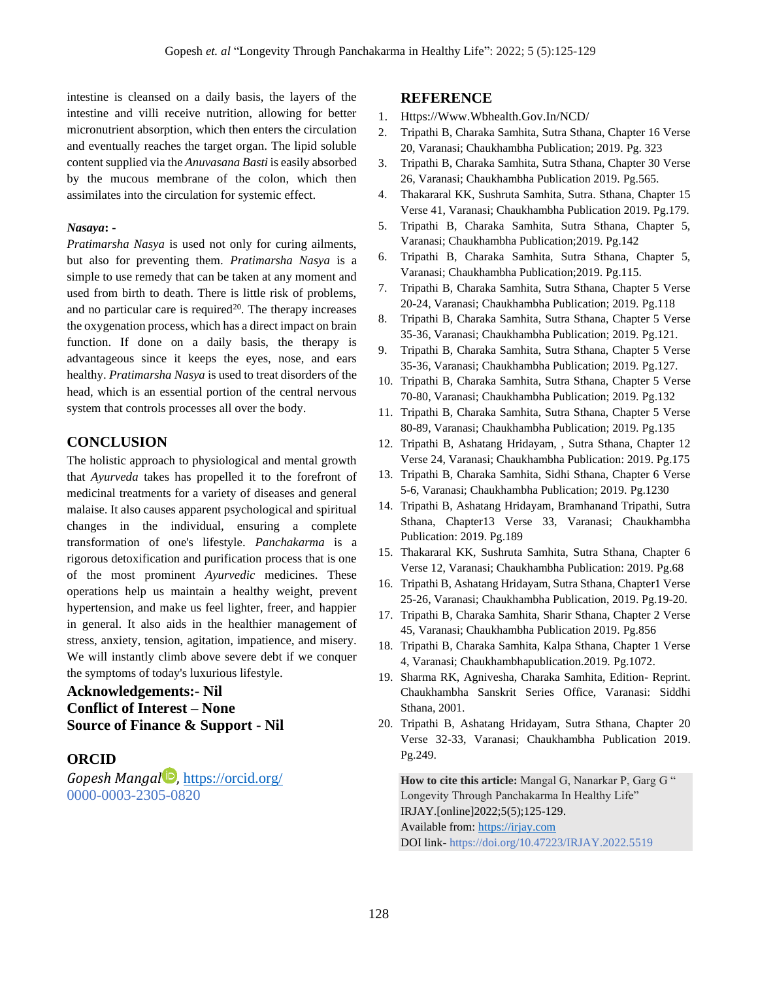intestine is cleansed on a daily basis, the layers of the intestine and villi receive nutrition, allowing for better micronutrient absorption, which then enters the circulation and eventually reaches the target organ. The lipid soluble content supplied via the *Anuvasana Basti* is easily absorbed by the mucous membrane of the colon, which then assimilates into the circulation for systemic effect.

#### *Nasaya***: -**

*Pratimarsha Nasya* is used not only for curing ailments, but also for preventing them. *Pratimarsha Nasya* is a simple to use remedy that can be taken at any moment and used from birth to death. There is little risk of problems, and no particular care is required<sup>20</sup>. The therapy increases the oxygenation process, which has a direct impact on brain function. If done on a daily basis, the therapy is advantageous since it keeps the eyes, nose, and ears healthy. *Pratimarsha Nasya* is used to treat disorders of the head, which is an essential portion of the central nervous system that controls processes all over the body.

# **CONCLUSION**

The holistic approach to physiological and mental growth that *Ayurveda* takes has propelled it to the forefront of medicinal treatments for a variety of diseases and general malaise. It also causes apparent psychological and spiritual changes in the individual, ensuring a complete transformation of one's lifestyle. *Panchakarma* is a rigorous detoxification and purification process that is one of the most prominent *Ayurvedic* medicines. These operations help us maintain a healthy weight, prevent hypertension, and make us feel lighter, freer, and happier in general. It also aids in the healthier management of stress, anxiety, tension, agitation, impatience, and misery. We will instantly climb above severe debt if we conquer the symptoms of today's luxurious lifestyle.

# **Acknowledgements:- Nil Conflict of Interest – None Source of Finance & Support - Nil**

# **ORCID**

*Gopesh Mangal* , <https://orcid.org/> 0000-0003-2305-0820

#### **REFERENCE**

- 1. [Https://Www.Wbhealth.Gov.In/NCD/](https://www.wbhealth.gov.in/NCD/)
- 2. Tripathi B, Charaka Samhita, Sutra Sthana, Chapter 16 Verse 20, Varanasi; Chaukhambha Publication; 2019. Pg. 323
- 3. Tripathi B, Charaka Samhita, Sutra Sthana, Chapter 30 Verse 26, Varanasi; Chaukhambha Publication 2019. Pg.565.
- 4. Thakararal KK, Sushruta Samhita, Sutra. Sthana, Chapter 15 Verse 41, Varanasi; Chaukhambha Publication 2019. Pg.179.
- 5. Tripathi B, Charaka Samhita, Sutra Sthana, Chapter 5, Varanasi; Chaukhambha Publication;2019. Pg.142
- 6. Tripathi B, Charaka Samhita, Sutra Sthana, Chapter 5, Varanasi; Chaukhambha Publication;2019. Pg.115.
- 7. Tripathi B, Charaka Samhita, Sutra Sthana, Chapter 5 Verse 20-24, Varanasi; Chaukhambha Publication; 2019. Pg.118
- 8. Tripathi B, Charaka Samhita, Sutra Sthana, Chapter 5 Verse 35-36, Varanasi; Chaukhambha Publication; 2019. Pg.121.
- 9. Tripathi B, Charaka Samhita, Sutra Sthana, Chapter 5 Verse 35-36, Varanasi; Chaukhambha Publication; 2019. Pg.127.
- 10. Tripathi B, Charaka Samhita, Sutra Sthana, Chapter 5 Verse 70-80, Varanasi; Chaukhambha Publication; 2019. Pg.132
- 11. Tripathi B, Charaka Samhita, Sutra Sthana, Chapter 5 Verse 80-89, Varanasi; Chaukhambha Publication; 2019. Pg.135
- 12. Tripathi B, Ashatang Hridayam, , Sutra Sthana, Chapter 12 Verse 24, Varanasi; Chaukhambha Publication: 2019. Pg.175
- 13. Tripathi B, Charaka Samhita, Sidhi Sthana, Chapter 6 Verse 5-6, Varanasi; Chaukhambha Publication; 2019. Pg.1230
- 14. Tripathi B, Ashatang Hridayam, Bramhanand Tripathi, Sutra Sthana, Chapter13 Verse 33, Varanasi; Chaukhambha Publication: 2019. Pg.189
- 15. Thakararal KK, Sushruta Samhita, Sutra Sthana, Chapter 6 Verse 12, Varanasi; Chaukhambha Publication: 2019. Pg.68
- 16. Tripathi B, Ashatang Hridayam, Sutra Sthana, Chapter1 Verse 25-26, Varanasi; Chaukhambha Publication, 2019. Pg.19-20.
- 17. Tripathi B, Charaka Samhita, Sharir Sthana, Chapter 2 Verse 45, Varanasi; Chaukhambha Publication 2019. Pg.856
- 18. Tripathi B, Charaka Samhita, Kalpa Sthana, Chapter 1 Verse 4, Varanasi; Chaukhambhapublication.2019. Pg.1072.
- 19. Sharma RK, Agnivesha, Charaka Samhita, Edition- Reprint. Chaukhambha Sanskrit Series Office, Varanasi: Siddhi Sthana, 2001.
- 20. Tripathi B, Ashatang Hridayam, Sutra Sthana, Chapter 20 Verse 32-33, Varanasi; Chaukhambha Publication 2019. Pg.249.

**How to cite this article:** Mangal G, Nanarkar P, Garg G " Longevity Through Panchakarma In Healthy Life" IRJAY.[online]2022;5(5);125-129. Available from[: https://irjay.com](https://irjay.com/) DOI link- https://doi.org/10.47223/IRJAY.2022.5519